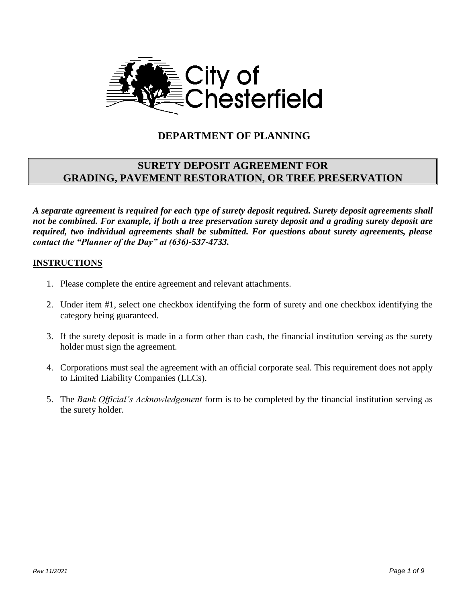

# **DEPARTMENT OF PLANNING**

## **SURETY DEPOSIT AGREEMENT FOR GRADING, PAVEMENT RESTORATION, OR TREE PRESERVATION**

*A separate agreement is required for each type of surety deposit required. Surety deposit agreements shall not be combined. For example, if both a tree preservation surety deposit and a grading surety deposit are required, two individual agreements shall be submitted. For questions about surety agreements, please contact the "Planner of the Day" at (636)-537-4733.*

#### **INSTRUCTIONS**

- 1. Please complete the entire agreement and relevant attachments.
- 2. Under item #1, select one checkbox identifying the form of surety and one checkbox identifying the category being guaranteed.
- 3. If the surety deposit is made in a form other than cash, the financial institution serving as the surety holder must sign the agreement.
- 4. Corporations must seal the agreement with an official corporate seal. This requirement does not apply to Limited Liability Companies (LLCs).
- 5. The *Bank Official's Acknowledgement* form is to be completed by the financial institution serving as the surety holder.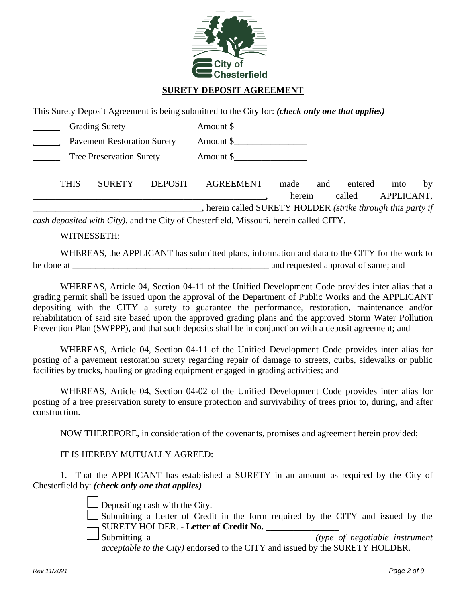

### **SURETY DEPOSIT AGREEMENT**

This Surety Deposit Agreement is being submitted to the City for: *(check only one that applies)*

|             | <b>Grading Surety</b>              |                | Amount \$                                                                              |        |     |         |            |    |
|-------------|------------------------------------|----------------|----------------------------------------------------------------------------------------|--------|-----|---------|------------|----|
|             | <b>Pavement Restoration Surety</b> |                | Amount \$                                                                              |        |     |         |            |    |
|             | <b>Tree Preservation Surety</b>    |                | Amount \$                                                                              |        |     |         |            |    |
| <b>THIS</b> | <b>SURETY</b>                      | <b>DEPOSIT</b> | <b>AGREEMENT</b>                                                                       | made   | and | entered | into       | by |
|             |                                    |                | , herein called SURETY HOLDER (strike through this party if                            | herein |     | called  | APPLICANT, |    |
|             |                                    |                | cash deposited with City), and the City of Chesterfield, Missouri, herein called CITY. |        |     |         |            |    |

WITNESSETH:

WHEREAS, the APPLICANT has submitted plans, information and data to the CITY for the work to be done at a contract a proval of same; and requested approval of same; and

WHEREAS, Article 04, Section 04-11 of the Unified Development Code provides inter alias that a grading permit shall be issued upon the approval of the Department of Public Works and the APPLICANT depositing with the CITY a surety to guarantee the performance, restoration, maintenance and/or rehabilitation of said site based upon the approved grading plans and the approved Storm Water Pollution Prevention Plan (SWPPP), and that such deposits shall be in conjunction with a deposit agreement; and

WHEREAS, Article 04, Section 04-11 of the Unified Development Code provides inter alias for posting of a pavement restoration surety regarding repair of damage to streets, curbs, sidewalks or public facilities by trucks, hauling or grading equipment engaged in grading activities; and

WHEREAS, Article 04, Section 04-02 of the Unified Development Code provides inter alias for posting of a tree preservation surety to ensure protection and survivability of trees prior to, during, and after construction.

NOW THEREFORE, in consideration of the covenants, promises and agreement herein provided;

IT IS HEREBY MUTUALLY AGREED:

1. That the APPLICANT has established a SURETY in an amount as required by the City of Chesterfield by: *(check only one that applies)*

Depositing cash with the City.

□ Submitting a Letter of Credit in the form required by the CITY and issued by the SURETY HOLDER. **- Letter of Credit No. \_\_\_\_\_\_\_\_\_\_\_\_\_\_\_\_**

□ Submitting a \_\_\_\_\_\_\_\_\_\_\_\_\_\_\_\_\_\_\_\_\_\_\_\_\_\_\_\_\_\_\_\_\_\_ *(type of negotiable instrument acceptable to the City)* endorsed to the CITY and issued by the SURETY HOLDER.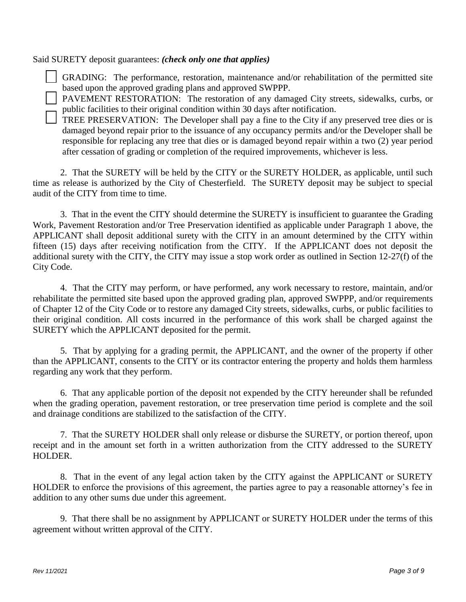#### Said SURETY deposit guarantees: *(check only one that applies)*

GRADING: The performance, restoration, maintenance and/or rehabilitation of the permitted site based upon the approved grading plans and approved SWPPP.

□ PAVEMENT RESTORATION: The restoration of any damaged City streets, sidewalks, curbs, or public facilities to their original condition within 30 days after notification.

TREE PRESERVATION: The Developer shall pay a fine to the City if any preserved tree dies or is damaged beyond repair prior to the issuance of any occupancy permits and/or the Developer shall be responsible for replacing any tree that dies or is damaged beyond repair within a two (2) year period after cessation of grading or completion of the required improvements, whichever is less.

2. That the SURETY will be held by the CITY or the SURETY HOLDER, as applicable, until such time as release is authorized by the City of Chesterfield. The SURETY deposit may be subject to special audit of the CITY from time to time.

3. That in the event the CITY should determine the SURETY is insufficient to guarantee the Grading Work, Pavement Restoration and/or Tree Preservation identified as applicable under Paragraph 1 above, the APPLICANT shall deposit additional surety with the CITY in an amount determined by the CITY within fifteen (15) days after receiving notification from the CITY. If the APPLICANT does not deposit the additional surety with the CITY, the CITY may issue a stop work order as outlined in Section 12-27(f) of the City Code.

4. That the CITY may perform, or have performed, any work necessary to restore, maintain, and/or rehabilitate the permitted site based upon the approved grading plan, approved SWPPP, and/or requirements of Chapter 12 of the City Code or to restore any damaged City streets, sidewalks, curbs, or public facilities to their original condition. All costs incurred in the performance of this work shall be charged against the SURETY which the APPLICANT deposited for the permit.

5. That by applying for a grading permit, the APPLICANT, and the owner of the property if other than the APPLICANT, consents to the CITY or its contractor entering the property and holds them harmless regarding any work that they perform.

6. That any applicable portion of the deposit not expended by the CITY hereunder shall be refunded when the grading operation, pavement restoration, or tree preservation time period is complete and the soil and drainage conditions are stabilized to the satisfaction of the CITY.

7. That the SURETY HOLDER shall only release or disburse the SURETY, or portion thereof, upon receipt and in the amount set forth in a written authorization from the CITY addressed to the SURETY HOLDER.

8. That in the event of any legal action taken by the CITY against the APPLICANT or SURETY HOLDER to enforce the provisions of this agreement, the parties agree to pay a reasonable attorney's fee in addition to any other sums due under this agreement.

9. That there shall be no assignment by APPLICANT or SURETY HOLDER under the terms of this agreement without written approval of the CITY.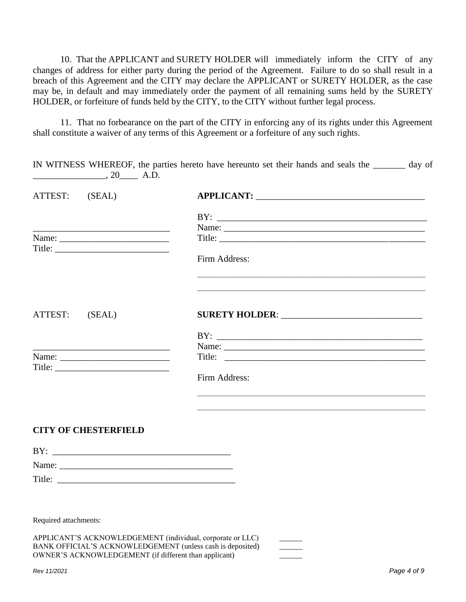10. That the APPLICANT and SURETY HOLDER will immediately inform the CITY of any changes of address for either party during the period of the Agreement. Failure to do so shall result in a breach of this Agreement and the CITY may declare the APPLICANT or SURETY HOLDER, as the case may be, in default and may immediately order the payment of all remaining sums held by the SURETY HOLDER, or forfeiture of funds held by the CITY, to the CITY without further legal process.

11. That no forbearance on the part of the CITY in enforcing any of its rights under this Agreement shall constitute a waiver of any terms of this Agreement or a forfeiture of any such rights.

| $\frac{\phantom{0}}{\phantom{0}}$ , 20 $\phantom{0}$ A.D.                                                              |                                                                                                                      |
|------------------------------------------------------------------------------------------------------------------------|----------------------------------------------------------------------------------------------------------------------|
| ATTEST: (SEAL)                                                                                                         |                                                                                                                      |
|                                                                                                                        |                                                                                                                      |
|                                                                                                                        |                                                                                                                      |
|                                                                                                                        |                                                                                                                      |
| Title:                                                                                                                 |                                                                                                                      |
|                                                                                                                        | Firm Address:                                                                                                        |
|                                                                                                                        |                                                                                                                      |
| ATTEST: (SEAL)                                                                                                         |                                                                                                                      |
|                                                                                                                        |                                                                                                                      |
|                                                                                                                        |                                                                                                                      |
| <u> 2008 - Johann John Stone, mars eta bat eta bat ez erroman ez errestan erroman ez erroman ez erroman ez erresta</u> |                                                                                                                      |
|                                                                                                                        | Title:                                                                                                               |
| Title:                                                                                                                 | Firm Address:                                                                                                        |
|                                                                                                                        | <u> 1980 - Johann John Harry Harry Harry Harry Harry Harry Harry Harry Harry Harry Harry Harry Harry Harry Harry</u> |
|                                                                                                                        |                                                                                                                      |
| <b>CITY OF CHESTERFIELD</b>                                                                                            |                                                                                                                      |
|                                                                                                                        |                                                                                                                      |
| Name:                                                                                                                  |                                                                                                                      |
| Title:                                                                                                                 |                                                                                                                      |
|                                                                                                                        |                                                                                                                      |
| Required attachments:                                                                                                  |                                                                                                                      |
|                                                                                                                        | APPLICANT'S ACKNOWLEDGEMENT (individual, corporate or LLC)                                                           |
| OWNER'S ACKNOWLEDGEMENT (if different than applicant)                                                                  | BANK OFFICIAL'S ACKNOWLEDGEMENT (unless cash is deposited)                                                           |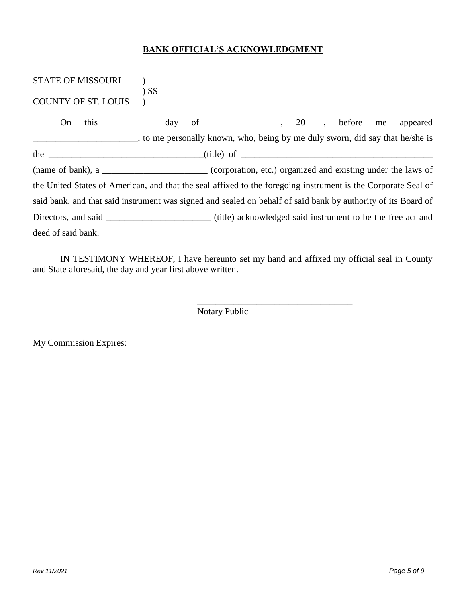#### **BANK OFFICIAL'S ACKNOWLEDGMENT**

| STATE OF MISSOURI<br>$)$ SS                       |                                                                                                               |                          |
|---------------------------------------------------|---------------------------------------------------------------------------------------------------------------|--------------------------|
| <b>COUNTY OF ST. LOUIS</b>                        |                                                                                                               |                          |
| this<br>On<br>$\frac{\mathrm{day}}{\mathrm{day}}$ |                                                                                                               | appeared<br>before<br>me |
|                                                   | to me personally known, who, being by me duly sworn, did say that he/she is                                   |                          |
|                                                   |                                                                                                               |                          |
|                                                   | (name of bank), a ____________________________(corporation, etc.) organized and existing under the laws of    |                          |
|                                                   | the United States of American, and that the seal affixed to the foregoing instrument is the Corporate Seal of |                          |
|                                                   | said bank, and that said instrument was signed and sealed on behalf of said bank by authority of its Board of |                          |
|                                                   |                                                                                                               |                          |
| deed of said bank.                                |                                                                                                               |                          |

IN TESTIMONY WHEREOF, I have hereunto set my hand and affixed my official seal in County and State aforesaid, the day and year first above written.

\_\_\_\_\_\_\_\_\_\_\_\_\_\_\_\_\_\_\_\_\_\_\_\_\_\_\_\_\_\_\_\_\_\_

Notary Public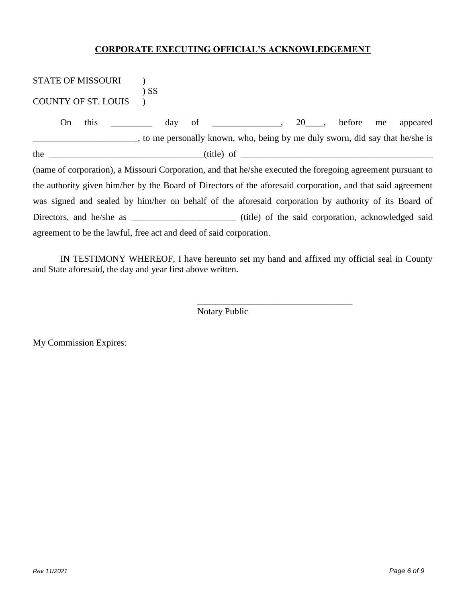#### **CORPORATE EXECUTING OFFICIAL'S ACKNOWLEDGEMENT**

| <b>STATE OF MISSOURI</b>                                                                                                                                                                                                          | $)$ SS |                           |  |          |
|-----------------------------------------------------------------------------------------------------------------------------------------------------------------------------------------------------------------------------------|--------|---------------------------|--|----------|
| <b>COUNTY OF ST. LOUIS</b>                                                                                                                                                                                                        |        |                           |  |          |
| On                                                                                                                                                                                                                                |        | this day of 20, before me |  | appeared |
| to me personally known, who, being by me duly sworn, did say that he/she is                                                                                                                                                       |        |                           |  |          |
| the $\frac{1}{1}$ method is the set of the set of the set of the set of the set of the set of the set of the set of the set of the set of the set of the set of the set of the set of the set of the set of the set of the set of |        |                           |  |          |
| (name of corporation), a Missouri Corporation, and that he/she executed the foregoing agreement pursuant to                                                                                                                       |        |                           |  |          |
| the authority given him/her by the Board of Directors of the aforesaid corporation, and that said agreement                                                                                                                       |        |                           |  |          |
| was signed and sealed by him/her on behalf of the aforesaid corporation by authority of its Board of                                                                                                                              |        |                           |  |          |
|                                                                                                                                                                                                                                   |        |                           |  |          |
| agreement to be the lawful, free act and deed of said corporation.                                                                                                                                                                |        |                           |  |          |

IN TESTIMONY WHEREOF, I have hereunto set my hand and affixed my official seal in County and State aforesaid, the day and year first above written.

\_\_\_\_\_\_\_\_\_\_\_\_\_\_\_\_\_\_\_\_\_\_\_\_\_\_\_\_\_\_\_\_\_\_

Notary Public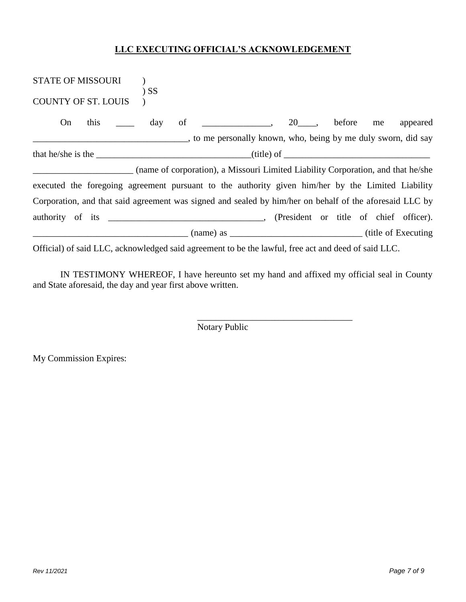#### **LLC EXECUTING OFFICIAL'S ACKNOWLEDGEMENT**

| STATE OF MISSOURI (C)<br>$)$ SS                                                                         |                                                    |  |  |  |          |  |  |
|---------------------------------------------------------------------------------------------------------|----------------------------------------------------|--|--|--|----------|--|--|
| <b>COUNTY OF ST. LOUIS</b>                                                                              |                                                    |  |  |  |          |  |  |
| this<br>day<br>On                                                                                       | $\frac{1}{20}$ , $\frac{20}{20}$ , before me<br>of |  |  |  | appeared |  |  |
|                                                                                                         |                                                    |  |  |  |          |  |  |
|                                                                                                         | that he/she is the $\frac{\ }{\ }$                 |  |  |  |          |  |  |
| (name of corporation), a Missouri Limited Liability Corporation, and that he/she                        |                                                    |  |  |  |          |  |  |
| executed the foregoing agreement pursuant to the authority given him/her by the Limited Liability       |                                                    |  |  |  |          |  |  |
| Corporation, and that said agreement was signed and sealed by him/her on behalf of the aforesaid LLC by |                                                    |  |  |  |          |  |  |
|                                                                                                         |                                                    |  |  |  |          |  |  |
| $\frac{1}{2}$ (name) as $\frac{1}{2}$ (name) as $\frac{1}{2}$ (title of Executing                       |                                                    |  |  |  |          |  |  |
| Official) of said LLC, acknowledged said agreement to be the lawful, free act and deed of said LLC.     |                                                    |  |  |  |          |  |  |

IN TESTIMONY WHEREOF, I have hereunto set my hand and affixed my official seal in County and State aforesaid, the day and year first above written.

\_\_\_\_\_\_\_\_\_\_\_\_\_\_\_\_\_\_\_\_\_\_\_\_\_\_\_\_\_\_\_\_\_\_

Notary Public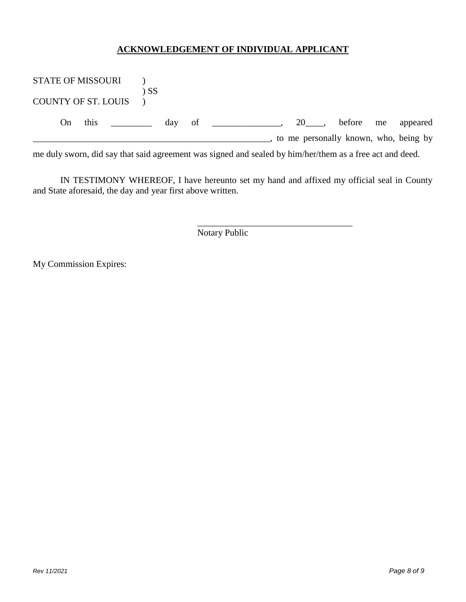#### **ACKNOWLEDGEMENT OF INDIVIDUAL APPLICANT**

| <b>STATE OF MISSOURI</b>   |      |                                   |      |  |                                                                                                          |                                       |        |    |          |
|----------------------------|------|-----------------------------------|------|--|----------------------------------------------------------------------------------------------------------|---------------------------------------|--------|----|----------|
|                            |      |                                   | ) SS |  |                                                                                                          |                                       |        |    |          |
| <b>COUNTY OF ST. LOUIS</b> |      |                                   |      |  |                                                                                                          |                                       |        |    |          |
|                            |      |                                   |      |  |                                                                                                          |                                       |        |    |          |
| On                         | this | and the control of the control of |      |  | day of                                                                                                   | 20 .                                  | before | me | appeared |
|                            |      |                                   |      |  |                                                                                                          | to me personally known, who, being by |        |    |          |
|                            |      |                                   |      |  | me duly sworn, did say that said agreement was signed and sealed by him/her/them as a free act and deed. |                                       |        |    |          |

IN TESTIMONY WHEREOF, I have hereunto set my hand and affixed my official seal in County and State aforesaid, the day and year first above written.

\_\_\_\_\_\_\_\_\_\_\_\_\_\_\_\_\_\_\_\_\_\_\_\_\_\_\_\_\_\_\_\_\_\_

Notary Public